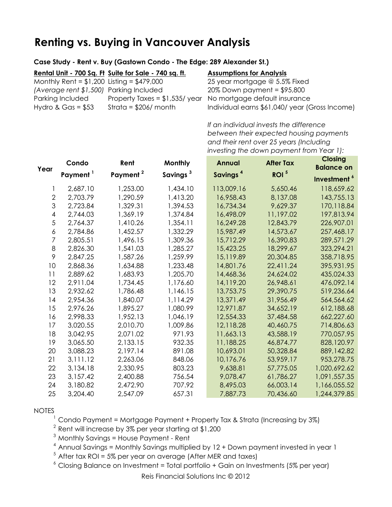# **Renting vs. Buying in Vancouver Analysis**

### **Case Study - Rent v. Buy (Gastown Condo - The Edge: 289 Alexander St.)**

|                                              | Rental Unit - 700 Sq. Ft Suite for Sale - 740 sq. ft. | <b>Assumptions for Analysis</b>                               |
|----------------------------------------------|-------------------------------------------------------|---------------------------------------------------------------|
| Monthly Rent = $$1,200$ Listing = $$479,000$ |                                                       | 25 year mortgage @ 5.5% Fixed                                 |
| (Average rent \$1,500) Parking Included      |                                                       | $20\%$ Down payment = \$95,800                                |
| Parking Included                             |                                                       | Property Taxes = $$1,535/$ year No mortgage default insurance |
| Hydro & Gas = $$53$                          | Strata = $$206/$ month                                | Individual earns \$61,040/year (Gross Income)                 |

*If an individual invests the difference between their expected housing payments and their rent over 25 years (Including investing the down payment from Year 1):*

| Year           | Condo                | Rent                 | Monthly              | <b>Annual</b>        | <b>After Tax</b> | <b>Closing</b><br><b>Balance on</b> |
|----------------|----------------------|----------------------|----------------------|----------------------|------------------|-------------------------------------|
|                | Payment <sup>1</sup> | Payment <sup>2</sup> | Savings <sup>3</sup> | Savings <sup>4</sup> | ROI <sup>5</sup> | Investment <sup>6</sup>             |
|                | 2,687.10             | 1,253.00             | 1,434.10             | 113,009.16           | 5,650.46         | 118,659.62                          |
| $\overline{2}$ | 2,703.79             | 1,290.59             | 1,413.20             | 16,958.43            | 8,137.08         | 143,755.13                          |
| 3              | 2,723.84             | 1,329.31             | 1,394.53             | 16,734.34            | 9,629.37         | 170,118.84                          |
| $\overline{4}$ | 2,744.03             | 1,369.19             | 1,374.84             | 16,498.09            | 11,197.02        | 197,813.94                          |
| 5              | 2,764.37             | 1,410.26             | 1,354.11             | 16,249.28            | 12,843.79        | 226,907.01                          |
| $\epsilon$     | 2,784.86             | 1,452.57             | 1,332.29             | 15,987.49            | 14,573.67        | 257,468.17                          |
| $\overline{7}$ | 2,805.51             | 1,496.15             | 1,309.36             | 15,712.29            | 16,390.83        | 289,571.29                          |
| 8              | 2,826.30             | 1,541.03             | 1,285.27             | 15,423.25            | 18,299.67        | 323,294.21                          |
| 9              | 2,847.25             | 1,587.26             | 1,259.99             | 15,119.89            | 20,304.85        | 358,718.95                          |
| 10             | 2,868.36             | 1,634.88             | 1,233.48             | 14,801.76            | 22,411.24        | 395,931.95                          |
| 11             | 2,889.62             | 1,683.93             | 1,205.70             | 14,468.36            | 24,624.02        | 435,024.33                          |
| 12             | 2,911.04             | 1,734.45             | 1,176.60             | 14,119.20            | 26,948.61        | 476,092.14                          |
| 13             | 2,932.62             | 1,786.48             | 1,146.15             | 13,753.75            | 29,390.75        | 519,236.64                          |
| 14             | 2,954.36             | 1,840.07             | 1,114.29             | 13,371.49            | 31,956.49        | 564,564.62                          |
| 15             | 2,976.26             | 1,895.27             | 1,080.99             | 12,971.87            | 34,652.19        | 612,188.68                          |
| 16             | 2,998.33             | 1,952.13             | 1,046.19             | 12,554.33            | 37,484.58        | 662,227.60                          |
| 17             | 3,020.55             | 2,010.70             | 1,009.86             | 12,118.28            | 40,460.75        | 714,806.63                          |
| 18             | 3,042.95             | 2,071.02             | 971.93               | 11,663.13            | 43,588.19        | 770,057.95                          |
| 19             | 3,065.50             | 2,133.15             | 932.35               | 11,188.25            | 46,874.77        | 828,120.97                          |
| 20             | 3,088.23             | 2,197.14             | 891.08               | 10,693.01            | 50,328.84        | 889,142.82                          |
| 21             | 3,111.12             | 2,263.06             | 848.06               | 10,176.76            | 53,959.17        | 953,278.75                          |
| 22             | 3,134.18             | 2,330.95             | 803.23               | 9,638.81             | 57,775.05        | 1,020,692.62                        |
| 23             | 3,157.42             | 2,400.88             | 756.54               | 9,078.47             | 61,786.27        | 1,091,557.35                        |
| 24             | 3,180.82             | 2,472.90             | 707.92               | 8,495.03             | 66,003.14        | 1,166,055.52                        |
| 25             | 3,204.40             | 2,547.09             | 657.31               | 7,887.73             | 70,436.60        | 1,244,379.85                        |

#### NOTES

 $1$  Condo Payment = Mortgage Payment + Property Tax & Strata (Increasing by 3%)

 $2$  Rent will increase by 3% per year starting at \$1,200

 $3$  Monthly Savings = House Payment - Rent

 $4$  Annual Savings = Monthly Savings multiplied by  $12 +$  Down payment invested in year 1

 $5$  After tax ROI = 5% per year on average (After MER and taxes)

 $6$  Closing Balance on Investment = Total portfolio + Gain on Investments (5% per year)

Reis Financial Solutions Inc © 2012